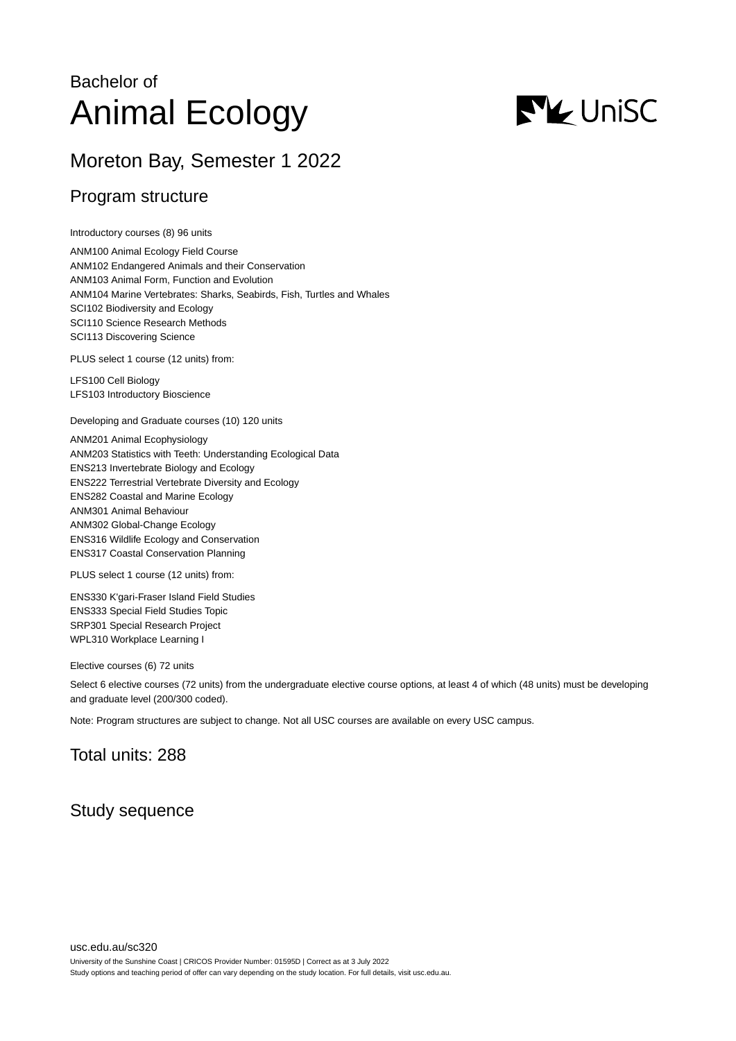# Bachelor of Animal Ecology



# Moreton Bay, Semester 1 2022

## Program structure

Introductory courses (8) 96 units

ANM100 Animal Ecology Field Course ANM102 Endangered Animals and their Conservation ANM103 Animal Form, Function and Evolution ANM104 Marine Vertebrates: Sharks, Seabirds, Fish, Turtles and Whales SCI102 Biodiversity and Ecology SCI110 Science Research Methods SCI113 Discovering Science

PLUS select 1 course (12 units) from:

LFS100 Cell Biology LFS103 Introductory Bioscience

Developing and Graduate courses (10) 120 units

ANM201 Animal Ecophysiology ANM203 Statistics with Teeth: Understanding Ecological Data ENS213 Invertebrate Biology and Ecology ENS222 Terrestrial Vertebrate Diversity and Ecology ENS282 Coastal and Marine Ecology ANM301 Animal Behaviour ANM302 Global-Change Ecology ENS316 Wildlife Ecology and Conservation ENS317 Coastal Conservation Planning

PLUS select 1 course (12 units) from:

ENS330 K'gari-Fraser Island Field Studies ENS333 Special Field Studies Topic SRP301 Special Research Project WPL310 Workplace Learning I

Elective courses (6) 72 units

Select 6 elective courses (72 units) from the undergraduate elective course options, at least 4 of which (48 units) must be developing and graduate level (200/300 coded).

Note: Program structures are subject to change. Not all USC courses are available on every USC campus.

# Total units: 288

### Study sequence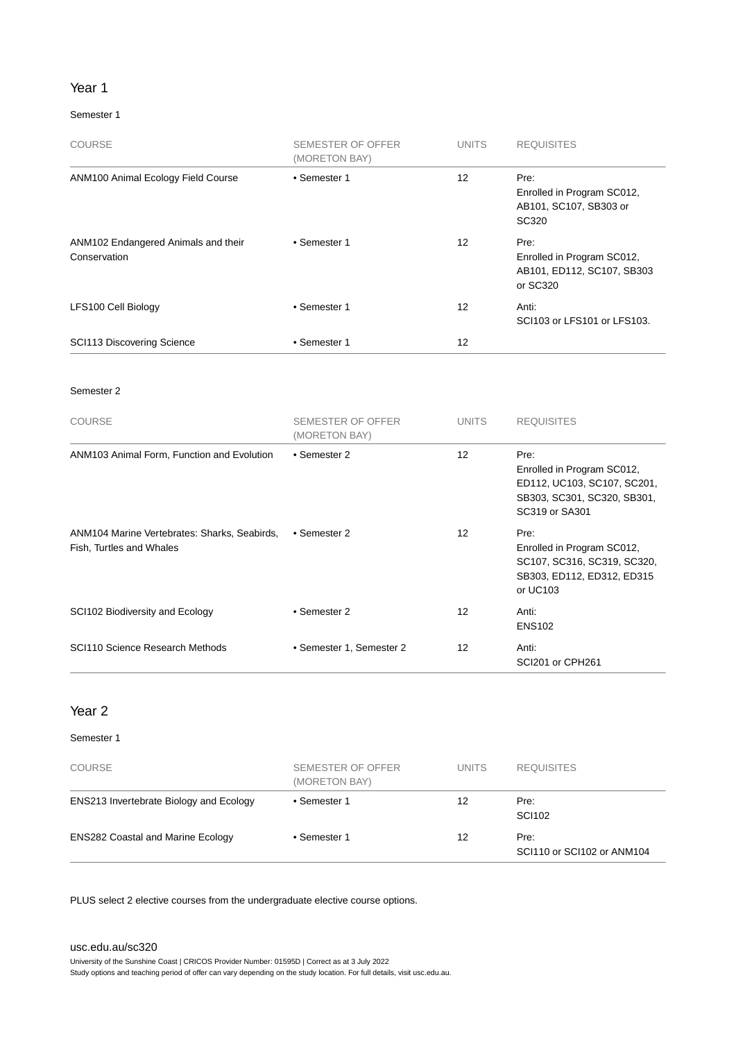#### Year 1

#### Semester 1

| <b>COURSE</b>                                       | <b>SEMESTER OF OFFER</b><br>(MORETON BAY) | <b>UNITS</b>      | <b>REQUISITES</b>                                                            |
|-----------------------------------------------------|-------------------------------------------|-------------------|------------------------------------------------------------------------------|
| ANM100 Animal Ecology Field Course                  | • Semester 1                              | $12 \overline{ }$ | Pre:<br>Enrolled in Program SC012,<br>AB101, SC107, SB303 or<br>SC320        |
| ANM102 Endangered Animals and their<br>Conservation | • Semester 1                              | 12                | Pre:<br>Enrolled in Program SC012,<br>AB101, ED112, SC107, SB303<br>or SC320 |
| LFS100 Cell Biology                                 | • Semester 1                              | 12                | Anti:<br>SCI103 or LFS101 or LFS103.                                         |
| <b>SCI113 Discovering Science</b>                   | • Semester 1                              | 12                |                                                                              |

#### Semester 2

| <b>COURSE</b>                                                            | <b>SEMESTER OF OFFER</b><br>(MORETON BAY) | <b>UNITS</b>      | <b>REQUISITES</b>                                                                                                  |
|--------------------------------------------------------------------------|-------------------------------------------|-------------------|--------------------------------------------------------------------------------------------------------------------|
| ANM103 Animal Form, Function and Evolution                               | • Semester 2                              | 12                | Pre:<br>Enrolled in Program SC012,<br>ED112, UC103, SC107, SC201,<br>SB303, SC301, SC320, SB301,<br>SC319 or SA301 |
| ANM104 Marine Vertebrates: Sharks, Seabirds,<br>Fish, Turtles and Whales | • Semester 2                              | $12 \overline{ }$ | Pre:<br>Enrolled in Program SC012,<br>SC107, SC316, SC319, SC320,<br>SB303, ED112, ED312, ED315<br>or UC103        |
| SCI102 Biodiversity and Ecology                                          | • Semester 2                              | 12                | Anti:<br><b>ENS102</b>                                                                                             |
| SCI110 Science Research Methods                                          | • Semester 1, Semester 2                  | 12                | Anti:<br>SCI201 or CPH261                                                                                          |

#### Year 2

#### Semester 1

| <b>COURSE</b>                                  | SEMESTER OF OFFER<br>(MORETON BAY) | <b>UNITS</b> | <b>REQUISITES</b>                  |
|------------------------------------------------|------------------------------------|--------------|------------------------------------|
| <b>ENS213 Invertebrate Biology and Ecology</b> | • Semester 1                       | 12           | Pre:<br>SCI102                     |
| <b>ENS282 Coastal and Marine Ecology</b>       | • Semester 1                       | 12           | Pre:<br>SCI110 or SCI102 or ANM104 |

PLUS select 2 elective courses from the undergraduate elective course options.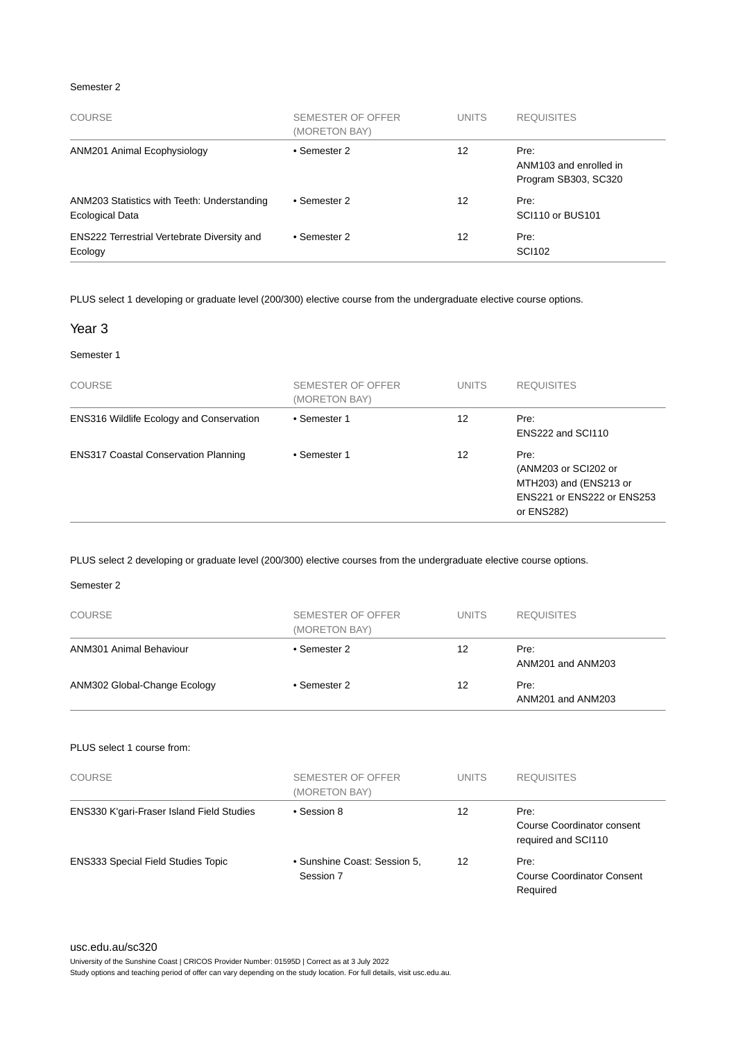#### Semester 2

| <b>COURSE</b>                                                  | SEMESTER OF OFFER<br>(MORETON BAY) | <b>UNITS</b> | <b>REQUISITES</b>                                      |
|----------------------------------------------------------------|------------------------------------|--------------|--------------------------------------------------------|
| ANM201 Animal Ecophysiology                                    | • Semester 2                       | 12           | Pre:<br>ANM103 and enrolled in<br>Program SB303, SC320 |
| ANM203 Statistics with Teeth: Understanding<br>Ecological Data | • Semester 2                       | 12           | Pre:<br>SCI110 or BUS101                               |
| <b>ENS222 Terrestrial Vertebrate Diversity and</b><br>Ecology  | • Semester 2                       | 12           | Pre:<br><b>SCI102</b>                                  |

PLUS select 1 developing or graduate level (200/300) elective course from the undergraduate elective course options.

#### Year 3

#### Semester 1

| <b>COURSE</b>                                   | SEMESTER OF OFFER<br>(MORETON BAY) | <b>UNITS</b> | <b>REQUISITES</b>                                                                                         |
|-------------------------------------------------|------------------------------------|--------------|-----------------------------------------------------------------------------------------------------------|
| <b>ENS316 Wildlife Ecology and Conservation</b> | • Semester 1                       | 12           | Pre:<br>ENS222 and SCI110                                                                                 |
| <b>ENS317 Coastal Conservation Planning</b>     | • Semester 1                       | 12           | Pre:<br>(ANM203 or SCI202 or<br>MTH203) and (ENS213 or<br><b>ENS221 or ENS222 or ENS253</b><br>or ENS282) |

PLUS select 2 developing or graduate level (200/300) elective courses from the undergraduate elective course options.

#### Semester 2

| <b>COURSE</b>                  | SEMESTER OF OFFER<br>(MORETON BAY) | <b>UNITS</b> | <b>REQUISITES</b>         |
|--------------------------------|------------------------------------|--------------|---------------------------|
| <b>ANM301 Animal Behaviour</b> | • Semester 2                       | 12           | Pre:<br>ANM201 and ANM203 |
| ANM302 Global-Change Ecology   | • Semester 2                       | 12           | Pre:<br>ANM201 and ANM203 |
| PLUS select 1 course from:     |                                    |              |                           |

| <b>COURSE</b>                                    | <b>SEMESTER OF OFFER</b><br>(MORETON BAY) | <b>UNITS</b> | <b>REQUISITES</b>                                         |
|--------------------------------------------------|-------------------------------------------|--------------|-----------------------------------------------------------|
| <b>ENS330 K'gari-Fraser Island Field Studies</b> | • Session 8                               | 12           | Pre:<br>Course Coordinator consent<br>required and SCI110 |
| <b>ENS333 Special Field Studies Topic</b>        | • Sunshine Coast: Session 5,<br>Session 7 | 12           | Pre:<br><b>Course Coordinator Consent</b><br>Required     |

[usc.edu.au/sc320](https://www.usc.edu.au/sc320)

University of the Sunshine Coast | CRICOS Provider Number: 01595D | Correct as at 3 July 2022

Study options and teaching period of offer can vary depending on the study location. For full details, visit usc.edu.au.